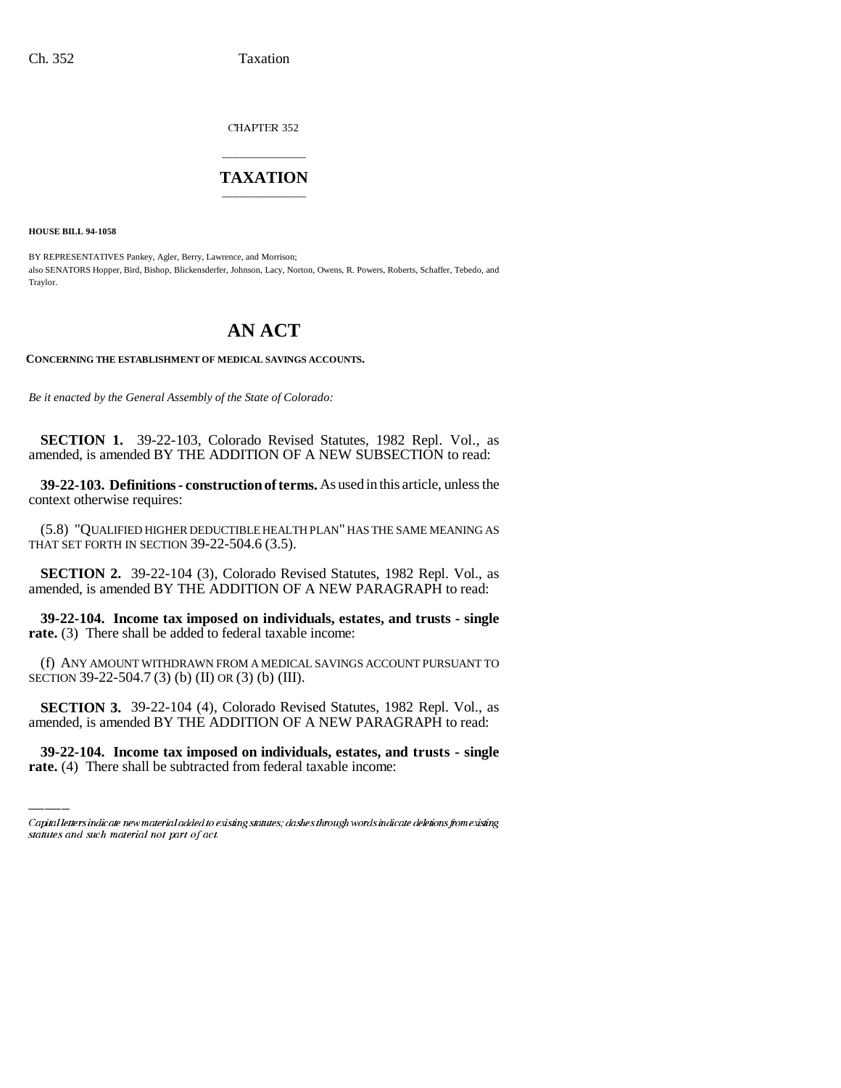CHAPTER 352

## \_\_\_\_\_\_\_\_\_\_\_\_\_\_\_ **TAXATION** \_\_\_\_\_\_\_\_\_\_\_\_\_\_\_

**HOUSE BILL 94-1058**

BY REPRESENTATIVES Pankey, Agler, Berry, Lawrence, and Morrison; also SENATORS Hopper, Bird, Bishop, Blickensderfer, Johnson, Lacy, Norton, Owens, R. Powers, Roberts, Schaffer, Tebedo, and Traylor.

# **AN ACT**

**CONCERNING THE ESTABLISHMENT OF MEDICAL SAVINGS ACCOUNTS.**

*Be it enacted by the General Assembly of the State of Colorado:*

**SECTION 1.** 39-22-103, Colorado Revised Statutes, 1982 Repl. Vol., as amended, is amended BY THE ADDITION OF A NEW SUBSECTION to read:

**39-22-103. Definitions - construction of terms.** As used in this article, unless the context otherwise requires:

(5.8) "QUALIFIED HIGHER DEDUCTIBLE HEALTH PLAN" HAS THE SAME MEANING AS THAT SET FORTH IN SECTION 39-22-504.6 (3.5).

**SECTION 2.** 39-22-104 (3), Colorado Revised Statutes, 1982 Repl. Vol., as amended, is amended BY THE ADDITION OF A NEW PARAGRAPH to read:

**39-22-104. Income tax imposed on individuals, estates, and trusts - single rate.** (3) There shall be added to federal taxable income:

(f) ANY AMOUNT WITHDRAWN FROM A MEDICAL SAVINGS ACCOUNT PURSUANT TO SECTION 39-22-504.7 (3) (b) (II) OR (3) (b) (III).

 **SECTION 3.** 39-22-104 (4), Colorado Revised Statutes, 1982 Repl. Vol., as amended, is amended BY THE ADDITION OF A NEW PARAGRAPH to read:

**39-22-104. Income tax imposed on individuals, estates, and trusts - single rate.** (4) There shall be subtracted from federal taxable income:

Capital letters indicate new material added to existing statutes; dashes through words indicate deletions from existing statutes and such material not part of act.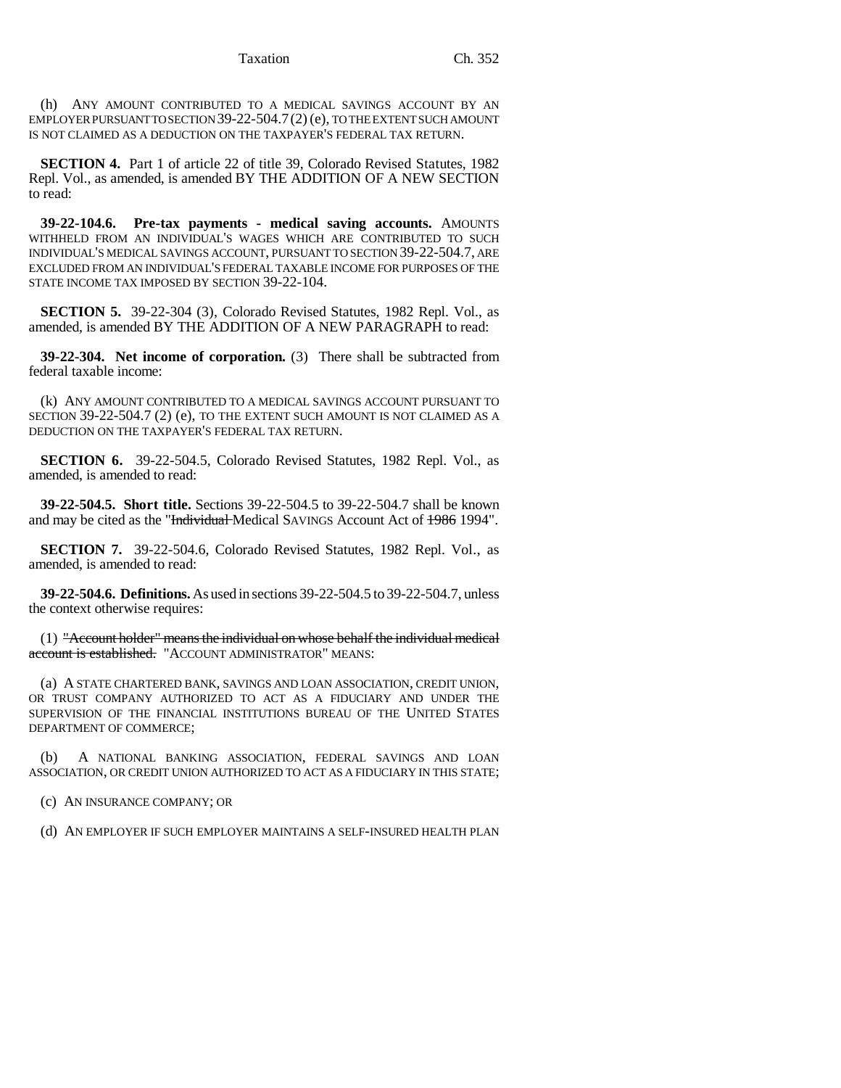(h) ANY AMOUNT CONTRIBUTED TO A MEDICAL SAVINGS ACCOUNT BY AN EMPLOYER PURSUANT TO SECTION 39-22-504.7(2) (e), TO THE EXTENT SUCH AMOUNT IS NOT CLAIMED AS A DEDUCTION ON THE TAXPAYER'S FEDERAL TAX RETURN.

**SECTION 4.** Part 1 of article 22 of title 39, Colorado Revised Statutes, 1982 Repl. Vol., as amended, is amended BY THE ADDITION OF A NEW SECTION to read:

**39-22-104.6. Pre-tax payments - medical saving accounts.** AMOUNTS WITHHELD FROM AN INDIVIDUAL'S WAGES WHICH ARE CONTRIBUTED TO SUCH INDIVIDUAL'S MEDICAL SAVINGS ACCOUNT, PURSUANT TO SECTION 39-22-504.7, ARE EXCLUDED FROM AN INDIVIDUAL'S FEDERAL TAXABLE INCOME FOR PURPOSES OF THE STATE INCOME TAX IMPOSED BY SECTION 39-22-104.

**SECTION 5.** 39-22-304 (3), Colorado Revised Statutes, 1982 Repl. Vol., as amended, is amended BY THE ADDITION OF A NEW PARAGRAPH to read:

**39-22-304. Net income of corporation.** (3) There shall be subtracted from federal taxable income:

(k) ANY AMOUNT CONTRIBUTED TO A MEDICAL SAVINGS ACCOUNT PURSUANT TO SECTION 39-22-504.7 (2) (e), TO THE EXTENT SUCH AMOUNT IS NOT CLAIMED AS A DEDUCTION ON THE TAXPAYER'S FEDERAL TAX RETURN.

**SECTION 6.** 39-22-504.5, Colorado Revised Statutes, 1982 Repl. Vol., as amended, is amended to read:

**39-22-504.5. Short title.** Sections 39-22-504.5 to 39-22-504.7 shall be known and may be cited as the "Individual Medical SAVINGS Account Act of 1986 1994".

**SECTION 7.** 39-22-504.6, Colorado Revised Statutes, 1982 Repl. Vol., as amended, is amended to read:

**39-22-504.6. Definitions.** As used in sections 39-22-504.5 to 39-22-504.7, unless the context otherwise requires:

(1) "Account holder" means the individual on whose behalf the individual medical account is established. "ACCOUNT ADMINISTRATOR" MEANS:

(a) A STATE CHARTERED BANK, SAVINGS AND LOAN ASSOCIATION, CREDIT UNION, OR TRUST COMPANY AUTHORIZED TO ACT AS A FIDUCIARY AND UNDER THE SUPERVISION OF THE FINANCIAL INSTITUTIONS BUREAU OF THE UNITED STATES DEPARTMENT OF COMMERCE;

(b) A NATIONAL BANKING ASSOCIATION, FEDERAL SAVINGS AND LOAN ASSOCIATION, OR CREDIT UNION AUTHORIZED TO ACT AS A FIDUCIARY IN THIS STATE;

(c) AN INSURANCE COMPANY; OR

(d) AN EMPLOYER IF SUCH EMPLOYER MAINTAINS A SELF-INSURED HEALTH PLAN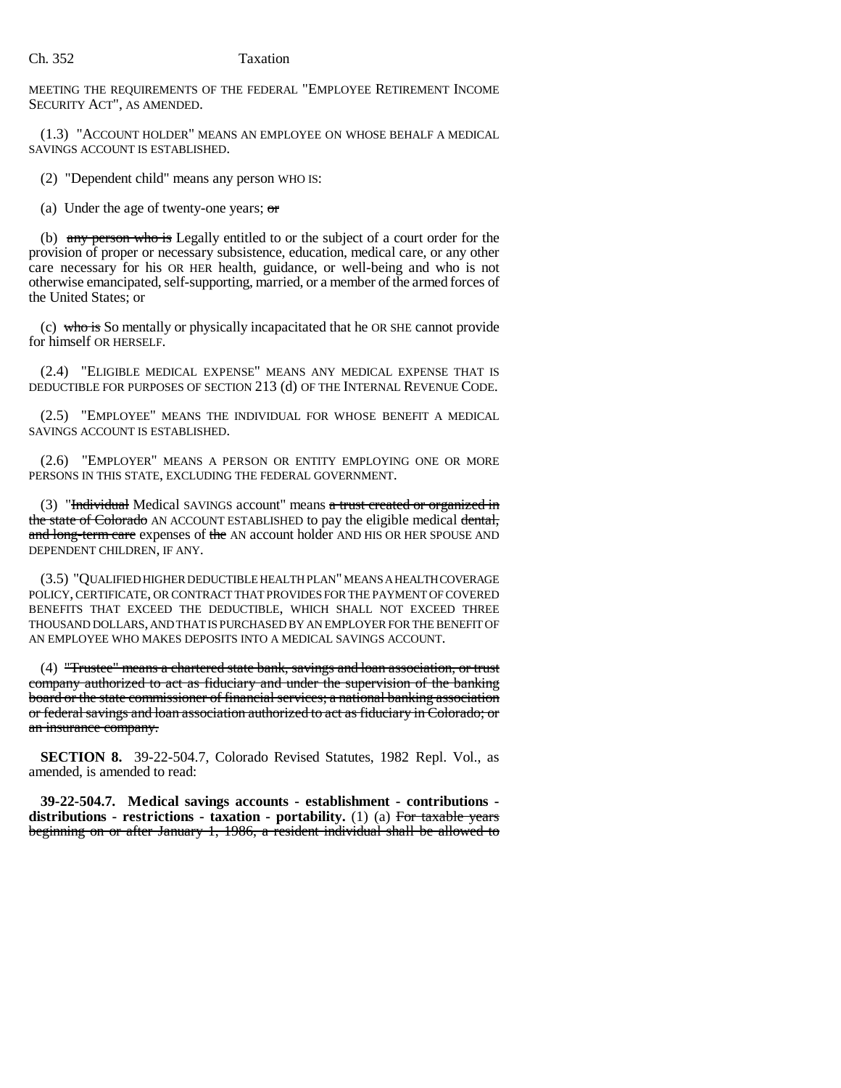#### Ch. 352 Taxation

MEETING THE REQUIREMENTS OF THE FEDERAL "EMPLOYEE RETIREMENT INCOME SECURITY ACT", AS AMENDED.

(1.3) "ACCOUNT HOLDER" MEANS AN EMPLOYEE ON WHOSE BEHALF A MEDICAL SAVINGS ACCOUNT IS ESTABLISHED.

(2) "Dependent child" means any person WHO IS:

(a) Under the age of twenty-one years;  $\sigma$ 

(b) any person who is Legally entitled to or the subject of a court order for the provision of proper or necessary subsistence, education, medical care, or any other care necessary for his OR HER health, guidance, or well-being and who is not otherwise emancipated, self-supporting, married, or a member of the armed forces of the United States; or

(c) who is So mentally or physically incapacitated that he OR SHE cannot provide for himself OR HERSELF.

(2.4) "ELIGIBLE MEDICAL EXPENSE" MEANS ANY MEDICAL EXPENSE THAT IS DEDUCTIBLE FOR PURPOSES OF SECTION 213 (d) OF THE INTERNAL REVENUE CODE.

(2.5) "EMPLOYEE" MEANS THE INDIVIDUAL FOR WHOSE BENEFIT A MEDICAL SAVINGS ACCOUNT IS ESTABLISHED.

(2.6) "EMPLOYER" MEANS A PERSON OR ENTITY EMPLOYING ONE OR MORE PERSONS IN THIS STATE, EXCLUDING THE FEDERAL GOVERNMENT.

(3) "Individual Medical SAVINGS account" means  $a$  trust created or organized in the state of Colorado AN ACCOUNT ESTABLISHED to pay the eligible medical dental, and long-term care expenses of the AN account holder AND HIS OR HER SPOUSE AND DEPENDENT CHILDREN, IF ANY.

(3.5) "QUALIFIED HIGHER DEDUCTIBLE HEALTH PLAN" MEANS A HEALTH COVERAGE POLICY, CERTIFICATE, OR CONTRACT THAT PROVIDES FOR THE PAYMENT OF COVERED BENEFITS THAT EXCEED THE DEDUCTIBLE, WHICH SHALL NOT EXCEED THREE THOUSAND DOLLARS, AND THAT IS PURCHASED BY AN EMPLOYER FOR THE BENEFIT OF AN EMPLOYEE WHO MAKES DEPOSITS INTO A MEDICAL SAVINGS ACCOUNT.

(4) "Trustee" means a chartered state bank, savings and loan association, or trust company authorized to act as fiduciary and under the supervision of the banking board or the state commissioner of financial services; a national banking association or federal savings and loan association authorized to act as fiduciary in Colorado; or an insurance company.

**SECTION 8.** 39-22-504.7, Colorado Revised Statutes, 1982 Repl. Vol., as amended, is amended to read:

**39-22-504.7. Medical savings accounts - establishment - contributions distributions - restrictions - taxation - portability.** (1) (a) For taxable years beginning on or after January 1, 1986, a resident individual shall be allowed to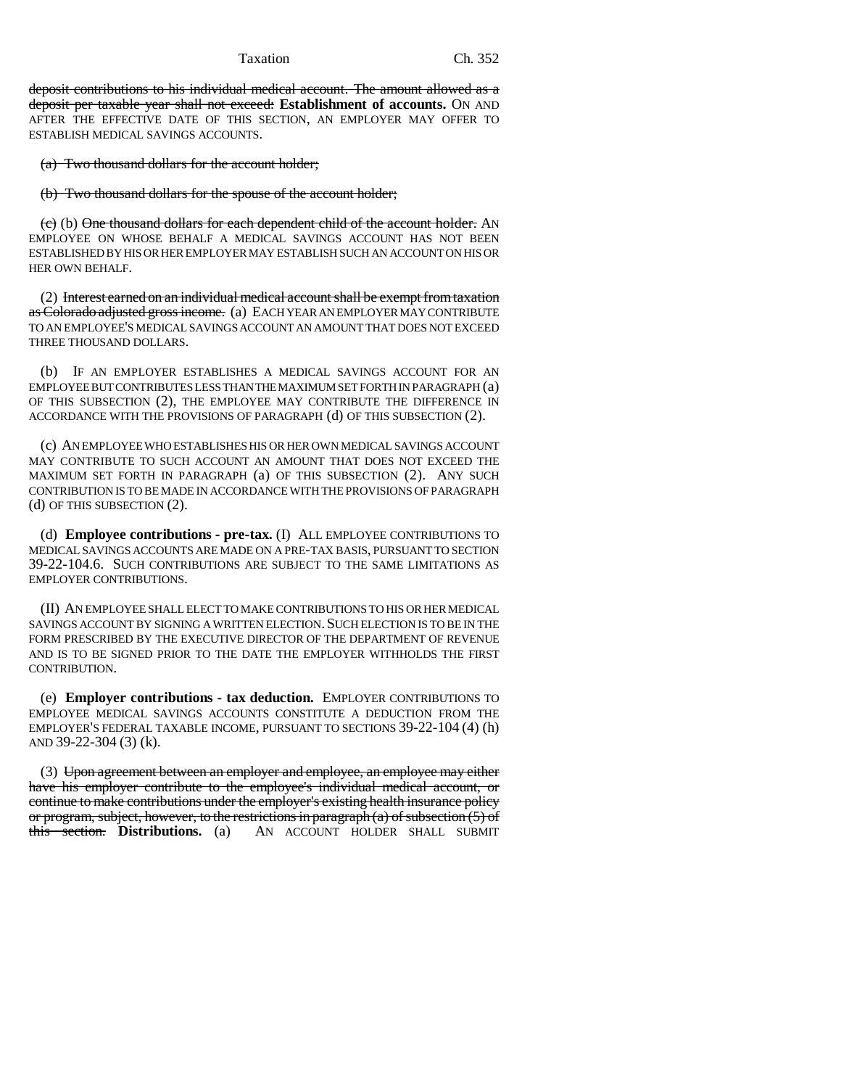#### Taxation Ch. 352

deposit contributions to his individual medical account. The amount allowed as a deposit per taxable year shall not exceed: **Establishment of accounts.** ON AND AFTER THE EFFECTIVE DATE OF THIS SECTION, AN EMPLOYER MAY OFFER TO ESTABLISH MEDICAL SAVINGS ACCOUNTS.

(a) Two thousand dollars for the account holder;

(b) Two thousand dollars for the spouse of the account holder;

(c) (b) One thousand dollars for each dependent child of the account holder. AN EMPLOYEE ON WHOSE BEHALF A MEDICAL SAVINGS ACCOUNT HAS NOT BEEN ESTABLISHED BY HIS OR HER EMPLOYER MAY ESTABLISH SUCH AN ACCOUNT ON HIS OR HER OWN BEHALF.

(2) Interest earned on an individual medical account shall be exempt from taxation as Colorado adjusted gross income. (a) EACH YEAR AN EMPLOYER MAY CONTRIBUTE TO AN EMPLOYEE'S MEDICAL SAVINGS ACCOUNT AN AMOUNT THAT DOES NOT EXCEED THREE THOUSAND DOLLARS.

(b) IF AN EMPLOYER ESTABLISHES A MEDICAL SAVINGS ACCOUNT FOR AN EMPLOYEE BUT CONTRIBUTES LESS THAN THE MAXIMUM SET FORTH IN PARAGRAPH (a) OF THIS SUBSECTION (2), THE EMPLOYEE MAY CONTRIBUTE THE DIFFERENCE IN ACCORDANCE WITH THE PROVISIONS OF PARAGRAPH (d) OF THIS SUBSECTION (2).

(c) AN EMPLOYEE WHO ESTABLISHES HIS OR HER OWN MEDICAL SAVINGS ACCOUNT MAY CONTRIBUTE TO SUCH ACCOUNT AN AMOUNT THAT DOES NOT EXCEED THE MAXIMUM SET FORTH IN PARAGRAPH (a) OF THIS SUBSECTION (2). ANY SUCH CONTRIBUTION IS TO BE MADE IN ACCORDANCE WITH THE PROVISIONS OF PARAGRAPH (d) OF THIS SUBSECTION (2).

(d) **Employee contributions - pre-tax.** (I) ALL EMPLOYEE CONTRIBUTIONS TO MEDICAL SAVINGS ACCOUNTS ARE MADE ON A PRE-TAX BASIS, PURSUANT TO SECTION 39-22-104.6. SUCH CONTRIBUTIONS ARE SUBJECT TO THE SAME LIMITATIONS AS EMPLOYER CONTRIBUTIONS.

(II) AN EMPLOYEE SHALL ELECT TO MAKE CONTRIBUTIONS TO HIS OR HER MEDICAL SAVINGS ACCOUNT BY SIGNING A WRITTEN ELECTION.SUCH ELECTION IS TO BE IN THE FORM PRESCRIBED BY THE EXECUTIVE DIRECTOR OF THE DEPARTMENT OF REVENUE AND IS TO BE SIGNED PRIOR TO THE DATE THE EMPLOYER WITHHOLDS THE FIRST CONTRIBUTION.

(e) **Employer contributions - tax deduction.** EMPLOYER CONTRIBUTIONS TO EMPLOYEE MEDICAL SAVINGS ACCOUNTS CONSTITUTE A DEDUCTION FROM THE EMPLOYER'S FEDERAL TAXABLE INCOME, PURSUANT TO SECTIONS 39-22-104 (4) (h) AND 39-22-304 (3) (k).

(3) Upon agreement between an employer and employee, an employee may either have his employer contribute to the employee's individual medical account, or continue to make contributions under the employer's existing health insurance policy or program, subject, however, to the restrictions in paragraph (a) of subsection (5) of this section. **Distributions.** (a) AN ACCOUNT HOLDER SHALL SUBMIT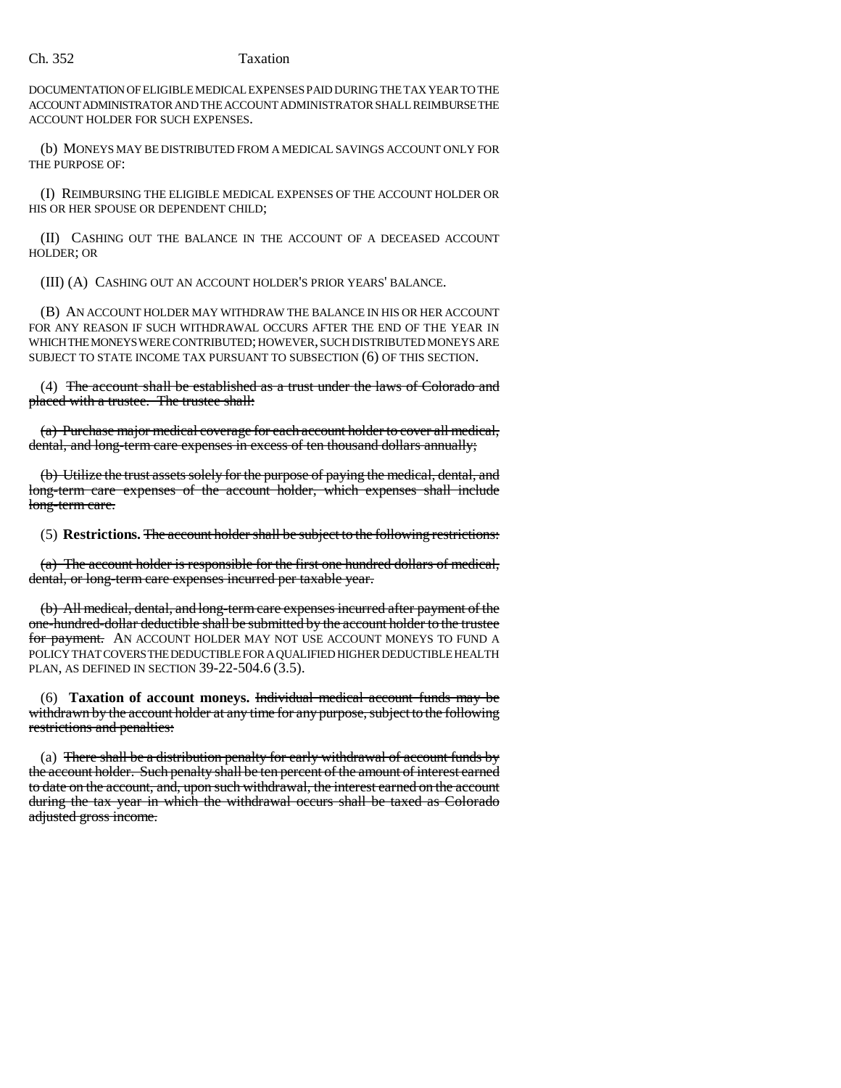### Ch. 352 Taxation

DOCUMENTATION OF ELIGIBLE MEDICAL EXPENSES PAID DURING THE TAX YEAR TO THE ACCOUNT ADMINISTRATOR AND THE ACCOUNT ADMINISTRATOR SHALL REIMBURSE THE ACCOUNT HOLDER FOR SUCH EXPENSES.

(b) MONEYS MAY BE DISTRIBUTED FROM A MEDICAL SAVINGS ACCOUNT ONLY FOR THE PURPOSE OF:

(I) REIMBURSING THE ELIGIBLE MEDICAL EXPENSES OF THE ACCOUNT HOLDER OR HIS OR HER SPOUSE OR DEPENDENT CHILD;

(II) CASHING OUT THE BALANCE IN THE ACCOUNT OF A DECEASED ACCOUNT HOLDER; OR

(III) (A) CASHING OUT AN ACCOUNT HOLDER'S PRIOR YEARS' BALANCE.

(B) AN ACCOUNT HOLDER MAY WITHDRAW THE BALANCE IN HIS OR HER ACCOUNT FOR ANY REASON IF SUCH WITHDRAWAL OCCURS AFTER THE END OF THE YEAR IN WHICH THE MONEYS WERE CONTRIBUTED; HOWEVER, SUCH DISTRIBUTED MONEYS ARE SUBJECT TO STATE INCOME TAX PURSUANT TO SUBSECTION (6) OF THIS SECTION.

(4) The account shall be established as a trust under the laws of Colorado and placed with a trustee. The trustee shall:

(a) Purchase major medical coverage for each account holder to cover all medical, dental, and long-term care expenses in excess of ten thousand dollars annually;

(b) Utilize the trust assets solely for the purpose of paying the medical, dental, and long-term care expenses of the account holder, which expenses shall include long-term care.

(5) **Restrictions.** The account holder shall be subject to the following restrictions:

(a) The account holder is responsible for the first one hundred dollars of medical, dental, or long-term care expenses incurred per taxable year.

(b) All medical, dental, and long-term care expenses incurred after payment of the one-hundred-dollar deductible shall be submitted by the account holder to the trustee for payment. AN ACCOUNT HOLDER MAY NOT USE ACCOUNT MONEYS TO FUND A POLICY THAT COVERS THE DEDUCTIBLE FOR A QUALIFIED HIGHER DEDUCTIBLE HEALTH PLAN, AS DEFINED IN SECTION 39-22-504.6 (3.5).

(6) **Taxation of account moneys.** Individual medical account funds may be withdrawn by the account holder at any time for any purpose, subject to the following restrictions and penalties:

(a) There shall be a distribution penalty for early withdrawal of account funds by the account holder. Such penalty shall be ten percent of the amount of interest earned to date on the account, and, upon such withdrawal, the interest earned on the account during the tax year in which the withdrawal occurs shall be taxed as Colorado adjusted gross income.